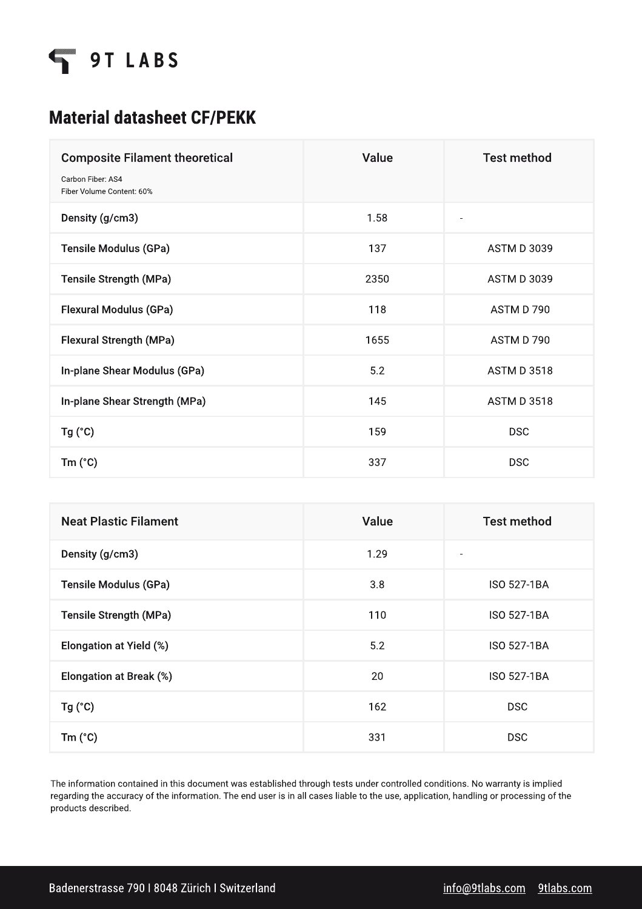

## Material datasheet CF/PEKK

| <b>Composite Filament theoretical</b><br>Carbon Fiber: AS4<br>Fiber Volume Content: 60% | Value | <b>Test method</b>           |
|-----------------------------------------------------------------------------------------|-------|------------------------------|
| Density (g/cm3)                                                                         | 1.58  | $\qquad \qquad \blacksquare$ |
| Tensile Modulus (GPa)                                                                   | 137   | <b>ASTM D 3039</b>           |
| Tensile Strength (MPa)                                                                  | 2350  | <b>ASTM D 3039</b>           |
| Flexural Modulus (GPa)                                                                  | 118   | ASTM D 790                   |
| Flexural Strength (MPa)                                                                 | 1655  | ASTM D 790                   |
| In-plane Shear Modulus (GPa)                                                            | 5.2   | <b>ASTM D 3518</b>           |
| In-plane Shear Strength (MPa)                                                           | 145   | <b>ASTM D 3518</b>           |
| Tg('C)                                                                                  | 159   | <b>DSC</b>                   |
| $Tm$ ( $^{\circ}$ C)                                                                    | 337   | <b>DSC</b>                   |

| <b>Neat Plastic Filament</b> | Value | <b>Test method</b> |
|------------------------------|-------|--------------------|
| Density (g/cm3)              | 1.29  | ٠                  |
| Tensile Modulus (GPa)        | 3.8   | <b>ISO 527-1BA</b> |
| Tensile Strength (MPa)       | 110   | <b>ISO 527-1BA</b> |
| Elongation at Yield (%)      | 5.2   | <b>ISO 527-1BA</b> |
| Elongation at Break (%)      | 20    | <b>ISO 527-1BA</b> |
| $Tg(^{\circ}C)$              | 162   | <b>DSC</b>         |
| $Tm$ ( $^{\circ}$ C)         | 331   | <b>DSC</b>         |

The information contained in this document was established through tests under controlled conditions. No warranty is implied regarding the accuracy of the information. The end user is in all cases liable to the use, application, handling or processing of the products described.